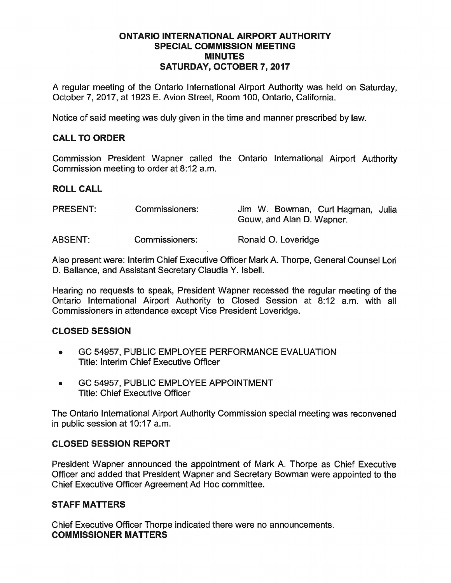#### ONTARIO INTERNATIONAL AIRPORT AUTHORITY SPECIAL COMMISSION MEETING **MINUTES** SATURDAY, OCTOBER 7, 2017

A regular meeting of the Ontario International Airport Authority was held on Saturday, October 7, 2017, at 1923 E. Avion Street, Room 100, Ontario, California.

Notice of said meeting was duly given in the time and manner prescribed by law.

# CALL TO ORDER

Commission President Wapner called the Ontario International Airport Authority Commission meeting to order at 8:12 a.m.

# ROLL CALL

| <b>PRESENT:</b> | Commissioners: | Jim W. Bowman, Curt Hagman, Julia<br>Gouw, and Alan D. Wapner. |
|-----------------|----------------|----------------------------------------------------------------|
| <b>ABSENT:</b>  | Commissioners: | Ronald O. Loveridge                                            |

Also present were: Interim Chief Executive Officer Mark A. Thorpe, General Counsel Lori D. Ballance, and Assistant Secretary Claudia Y. Isbell.

Hearing no requests to speak, President Wapner recessed the regular meeting of the Ontario International Airport Authority to Closed Session at 8:12 a.m. with all Commissioners in attendance except Vice President Loveridge.

# CLOSED SESSION

- GC 54957, PUBLIC EMPLOYEE PERFORMANCE EVALUATION Title: Interim Chief Executive Officer
- GC 54957, PUBLIC EMPLOYEE APPOINTMENT Title: Chief Executive Officer

The Ontario International Airport Authority Commission special meeting was reconvened in public session at 10:17 a.m.

# CLOSED SESSION REPORT

President Wapner announced the appointment of Mark A. Thorpe as Chief Executive Officer and added that President Wapner and Secretary Bowman were appointed to the Chief Executive Officer Agreement Ad Hoc committee.

# STAFF MATTERS

Chief Executive Officer Thorpe indicated there were no announcements. COMMISSIONER MATTERS